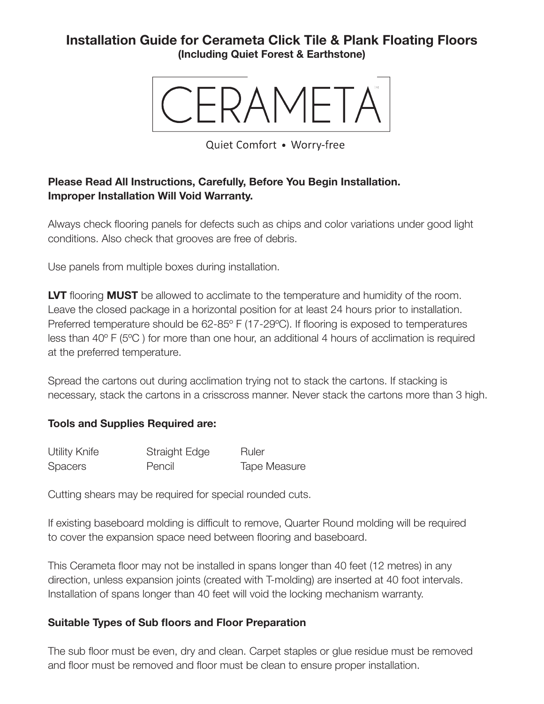# **Installation Guide for Cerameta Click Tile & Plank Floating Floors (Including Quiet Forest & Earthstone)**



Quiet Comfort . Worry-free

### **Please Read All Instructions, Carefully, Before You Begin Installation. Improper Installation Will Void Warranty.**

Always check flooring panels for defects such as chips and color variations under good light conditions. Also check that grooves are free of debris.

Use panels from multiple boxes during installation.

**LVT** flooring **MUST** be allowed to acclimate to the temperature and humidity of the room. Leave the closed package in a horizontal position for at least 24 hours prior to installation. Preferred temperature should be 62-85º F (17-29ºC). If flooring is exposed to temperatures less than 40º F (5ºC ) for more than one hour, an additional 4 hours of acclimation is required at the preferred temperature.

Spread the cartons out during acclimation trying not to stack the cartons. If stacking is necessary, stack the cartons in a crisscross manner. Never stack the cartons more than 3 high.

#### **Tools and Supplies Required are:**

| <b>Utility Knife</b> | Straight Edge | Ruler               |
|----------------------|---------------|---------------------|
| <b>Spacers</b>       | Pencil        | <b>Tape Measure</b> |

Cutting shears may be required for special rounded cuts.

If existing baseboard molding is difficult to remove, Quarter Round molding will be required to cover the expansion space need between flooring and baseboard.

This Cerameta floor may not be installed in spans longer than 40 feet (12 metres) in any direction, unless expansion joints (created with T-molding) are inserted at 40 foot intervals. Installation of spans longer than 40 feet will void the locking mechanism warranty.

#### **Suitable Types of Sub floors and Floor Preparation**

The sub floor must be even, dry and clean. Carpet staples or glue residue must be removed and floor must be removed and floor must be clean to ensure proper installation.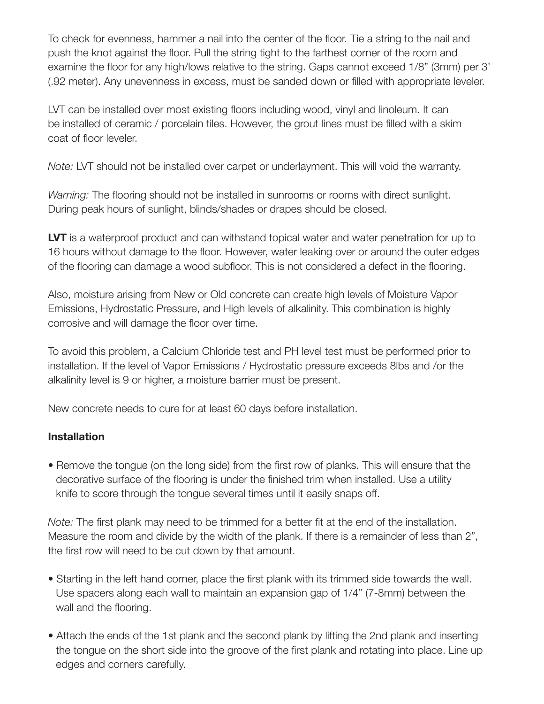To check for evenness, hammer a nail into the center of the floor. Tie a string to the nail and push the knot against the floor. Pull the string tight to the farthest corner of the room and examine the floor for any high/lows relative to the string. Gaps cannot exceed 1/8" (3mm) per 3' (.92 meter). Any unevenness in excess, must be sanded down or filled with appropriate leveler.

LVT can be installed over most existing floors including wood, vinyl and linoleum. It can be installed of ceramic / porcelain tiles. However, the grout lines must be filled with a skim coat of floor leveler.

*Note:* LVT should not be installed over carpet or underlayment. This will void the warranty.

*Warning:* The flooring should not be installed in sunrooms or rooms with direct sunlight. During peak hours of sunlight, blinds/shades or drapes should be closed.

**LVT** is a waterproof product and can withstand topical water and water penetration for up to 16 hours without damage to the floor. However, water leaking over or around the outer edges of the flooring can damage a wood subfloor. This is not considered a defect in the flooring.

Also, moisture arising from New or Old concrete can create high levels of Moisture Vapor Emissions, Hydrostatic Pressure, and High levels of alkalinity. This combination is highly corrosive and will damage the floor over time.

To avoid this problem, a Calcium Chloride test and PH level test must be performed prior to installation. If the level of Vapor Emissions / Hydrostatic pressure exceeds 8lbs and /or the alkalinity level is 9 or higher, a moisture barrier must be present.

New concrete needs to cure for at least 60 days before installation.

#### **Installation**

• Remove the tongue (on the long side) from the first row of planks. This will ensure that the decorative surface of the flooring is under the finished trim when installed. Use a utility knife to score through the tongue several times until it easily snaps off.

*Note:* The first plank may need to be trimmed for a better fit at the end of the installation. Measure the room and divide by the width of the plank. If there is a remainder of less than 2", the first row will need to be cut down by that amount.

- Starting in the left hand corner, place the first plank with its trimmed side towards the wall. Use spacers along each wall to maintain an expansion gap of 1/4" (7-8mm) between the wall and the flooring.
- Attach the ends of the 1st plank and the second plank by lifting the 2nd plank and inserting the tongue on the short side into the groove of the first plank and rotating into place. Line up edges and corners carefully.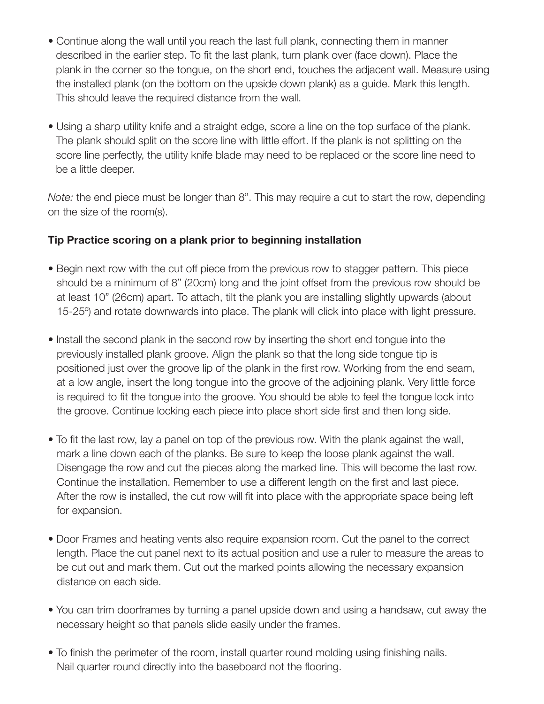- Continue along the wall until you reach the last full plank, connecting them in manner described in the earlier step. To fit the last plank, turn plank over (face down). Place the plank in the corner so the tongue, on the short end, touches the adjacent wall. Measure using the installed plank (on the bottom on the upside down plank) as a guide. Mark this length. This should leave the required distance from the wall.
- Using a sharp utility knife and a straight edge, score a line on the top surface of the plank. The plank should split on the score line with little effort. If the plank is not splitting on the score line perfectly, the utility knife blade may need to be replaced or the score line need to be a little deeper.

*Note:* the end piece must be longer than 8". This may require a cut to start the row, depending on the size of the room(s).

### **Tip Practice scoring on a plank prior to beginning installation**

- Begin next row with the cut off piece from the previous row to stagger pattern. This piece should be a minimum of 8" (20cm) long and the joint offset from the previous row should be at least 10" (26cm) apart. To attach, tilt the plank you are installing slightly upwards (about 15-25º) and rotate downwards into place. The plank will click into place with light pressure.
- Install the second plank in the second row by inserting the short end tongue into the previously installed plank groove. Align the plank so that the long side tongue tip is positioned just over the groove lip of the plank in the first row. Working from the end seam, at a low angle, insert the long tongue into the groove of the adjoining plank. Very little force is required to fit the tongue into the groove. You should be able to feel the tongue lock into the groove. Continue locking each piece into place short side first and then long side.
- To fit the last row, lay a panel on top of the previous row. With the plank against the wall, mark a line down each of the planks. Be sure to keep the loose plank against the wall. Disengage the row and cut the pieces along the marked line. This will become the last row. Continue the installation. Remember to use a different length on the first and last piece. After the row is installed, the cut row will fit into place with the appropriate space being left for expansion.
- Door Frames and heating vents also require expansion room. Cut the panel to the correct length. Place the cut panel next to its actual position and use a ruler to measure the areas to be cut out and mark them. Cut out the marked points allowing the necessary expansion distance on each side.
- You can trim doorframes by turning a panel upside down and using a handsaw, cut away the necessary height so that panels slide easily under the frames.
- To finish the perimeter of the room, install quarter round molding using finishing nails. Nail quarter round directly into the baseboard not the flooring.